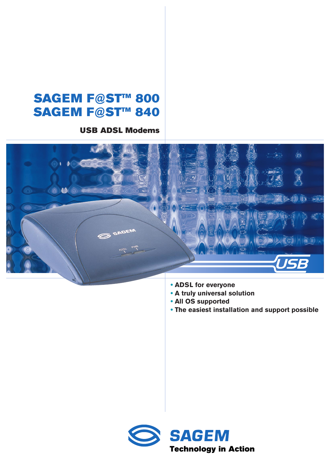# **SAGEM F@ST™ 800 SAGEM F@ST™ 840**

**USB ADSL Modems**



- **• ADSL for everyone**
- **• A truly universal solution**
- **• All OS supported**
- **• The easiest installation and support possible**